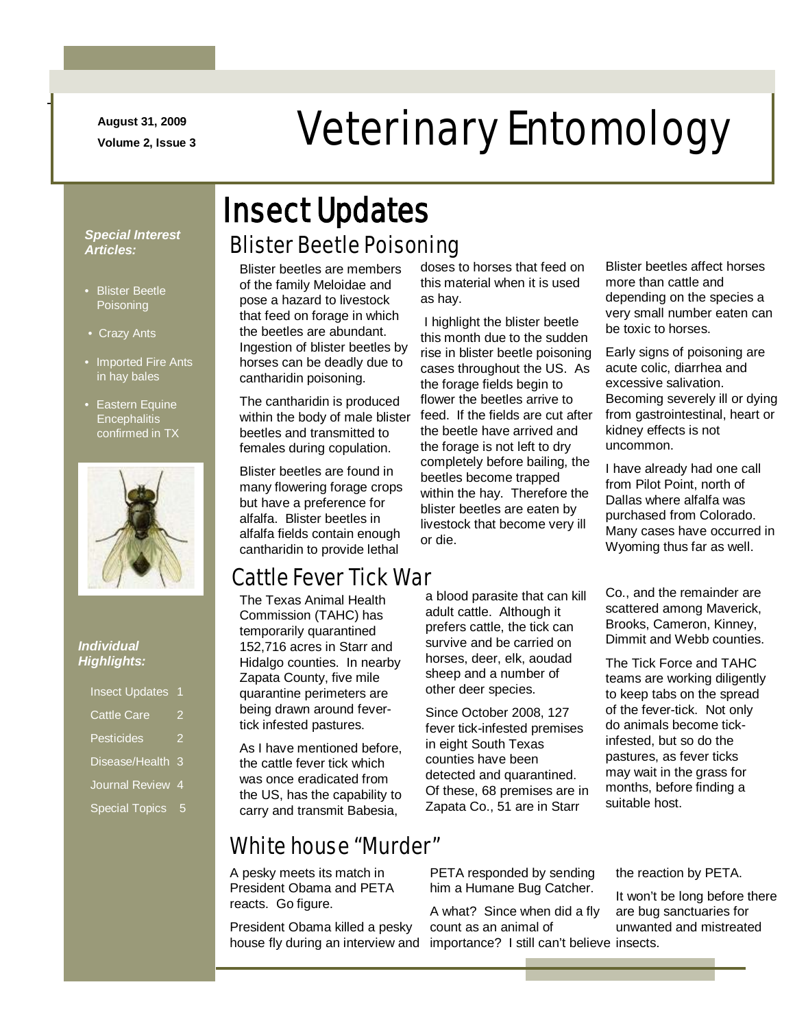**August 31, 2009**

-

# August 31, 2009<br>Veterinary Entomology

*Special Interest Articles:*

- Blister Beetle **Poisoning**
- Crazy Ants
- Imported Fire Ants in hay bales
- Eastern Equine **Encephalitis** confirmed in TX



#### *Individual Highlights:*

| <b>Cattle Care</b><br>2<br>Pesticides<br>2<br>Disease/Health<br>3<br><b>Journal Review</b><br>4<br><b>Special Topics</b><br>5 | <b>Insect Updates</b> | 1 |
|-------------------------------------------------------------------------------------------------------------------------------|-----------------------|---|
|                                                                                                                               |                       |   |
|                                                                                                                               |                       |   |
|                                                                                                                               |                       |   |
|                                                                                                                               |                       |   |
|                                                                                                                               |                       |   |

### Blister Beetle Poisoning Insect Updates

Blister beetles are members of the family Meloidae and pose a hazard to livestock that feed on forage in which the beetles are abundant. Ingestion of blister beetles by horses can be deadly due to cantharidin poisoning.

The cantharidin is produced within the body of male blister beetles and transmitted to females during copulation.

Blister beetles are found in many flowering forage crops but have a preference for alfalfa. Blister beetles in alfalfa fields contain enough cantharidin to provide lethal

### Cattle Fever Tick War

The Texas Animal Health Commission (TAHC) has temporarily quarantined 152,716 acres in Starr and Hidalgo counties. In nearby Zapata County, five mile quarantine perimeters are being drawn around fevertick infested pastures.

As I have mentioned before, the cattle fever tick which was once eradicated from the US, has the capability to carry and transmit Babesia,

### White house "Murder"

A pesky meets its match in President Obama and PETA reacts. Go figure.

President Obama killed a pesky house fly during an interview and importance? I still can't believe insects.

doses to horses that feed on this material when it is used as hay.

I highlight the blister beetle this month due to the sudden rise in blister beetle poisoning cases throughout the US. As the forage fields begin to flower the beetles arrive to feed. If the fields are cut after the beetle have arrived and the forage is not left to dry completely before bailing, the beetles become trapped within the hay. Therefore the blister beetles are eaten by livestock that become very ill or die.

a blood parasite that can kill adult cattle. Although it prefers cattle, the tick can survive and be carried on horses, deer, elk, aoudad sheep and a number of other deer species.

Since October 2008, 127 fever tick-infested premises in eight South Texas counties have been detected and quarantined. Of these, 68 premises are in Zapata Co., 51 are in Starr

PETA responded by sending him a Humane Bug Catcher.

A what? Since when did a fly count as an animal of

Blister beetles affect horses more than cattle and depending on the species a very small number eaten can be toxic to horses.

Early signs of poisoning are acute colic, diarrhea and excessive salivation. Becoming severely ill or dying from gastrointestinal, heart or kidney effects is not uncommon.

I have already had one call from Pilot Point, north of Dallas where alfalfa was purchased from Colorado. Many cases have occurred in Wyoming thus far as well.

Co., and the remainder are scattered among Maverick, Brooks, Cameron, Kinney, Dimmit and Webb counties.

The Tick Force and TAHC teams are working diligently to keep tabs on the spread of the fever-tick. Not only do animals become tickinfested, but so do the pastures, as fever ticks may wait in the grass for months, before finding a suitable host.

the reaction by PETA.

It won't be long before there are bug sanctuaries for unwanted and mistreated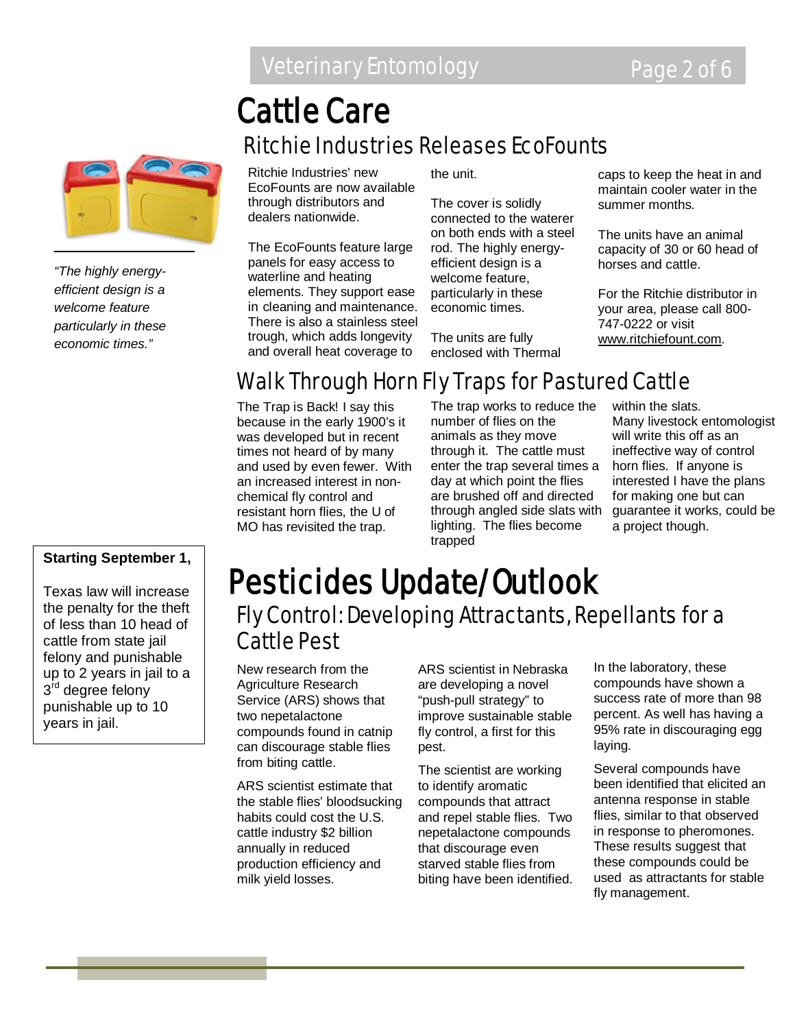### Veterinary Entomology **Page 2 of 6**

## Ritchie Industries Releases EcoFounts Cattle Care



*"The highly energyefficient design is a welcome feature particularly in these economic times."*

#### **Starting September 1,**

Texas law will increase the penalty for the theft of less than 10 head of cattle from state jail felony and punishable up to 2 years in jail to a 3<sup>rd</sup> degree felony punishable up to 10 years in jail.

Ritchie Industries' new EcoFounts are now available through distributors and dealers nationwide.

The EcoFounts feature large panels for easy access to waterline and heating elements. They support ease in cleaning and maintenance. There is also a stainless steel trough, which adds longevity and overall heat coverage to

the unit.

The cover is solidly connected to the waterer on both ends with a steel rod. The highly energyefficient design is a welcome feature, particularly in these economic times.

The units are fully enclosed with Thermal

caps to keep the heat in and maintain cooler water in the summer months.

The units have an animal capacity of 30 or 60 head of horses and cattle.

For the Ritchie distributor in your area, please call 800- 747-0222 or visit [www.ritchiefount.com.](http://www.ritchiefount.com/)

### Walk Through Horn Fly Traps for Pastured Cattle

The Trap is Back! I say this because in the early 1900's it was developed but in recent times not heard of by many and used by even fewer. With an increased interest in nonchemical fly control and resistant horn flies, the U of MO has revisited the trap.

The trap works to reduce the number of flies on the animals as they move through it. The cattle must enter the trap several times a day at which point the flies are brushed off and directed through angled side slats with lighting. The flies become trapped

within the slats. Many livestock entomologist will write this off as an ineffective way of control horn flies. If anyone is interested I have the plans for making one but can guarantee it works, could be a project though.

### Fly Control: Developing Attractants, Repellants for a Cattle Pest Pesticides Update/Outlook

New research from the Agriculture Research Service (ARS) shows that two nepetalactone compounds found in catnip can discourage stable flies from biting cattle.

ARS scientist estimate that the stable flies' bloodsucking habits could cost the U.S. cattle industry \$2 billion annually in reduced production efficiency and milk yield losses.

ARS scientist in Nebraska are developing a novel "push-pull strategy" to improve sustainable stable fly control, a first for this pest.

The scientist are working to identify aromatic compounds that attract and repel stable flies. Two nepetalactone compounds that discourage even starved stable flies from biting have been identified. In the laboratory, these compounds have shown a success rate of more than 98 percent. As well has having a 95% rate in discouraging egg laying.

Several compounds have been identified that elicited an antenna response in stable flies, similar to that observed in response to pheromones. These results suggest that these compounds could be used as attractants for stable fly management.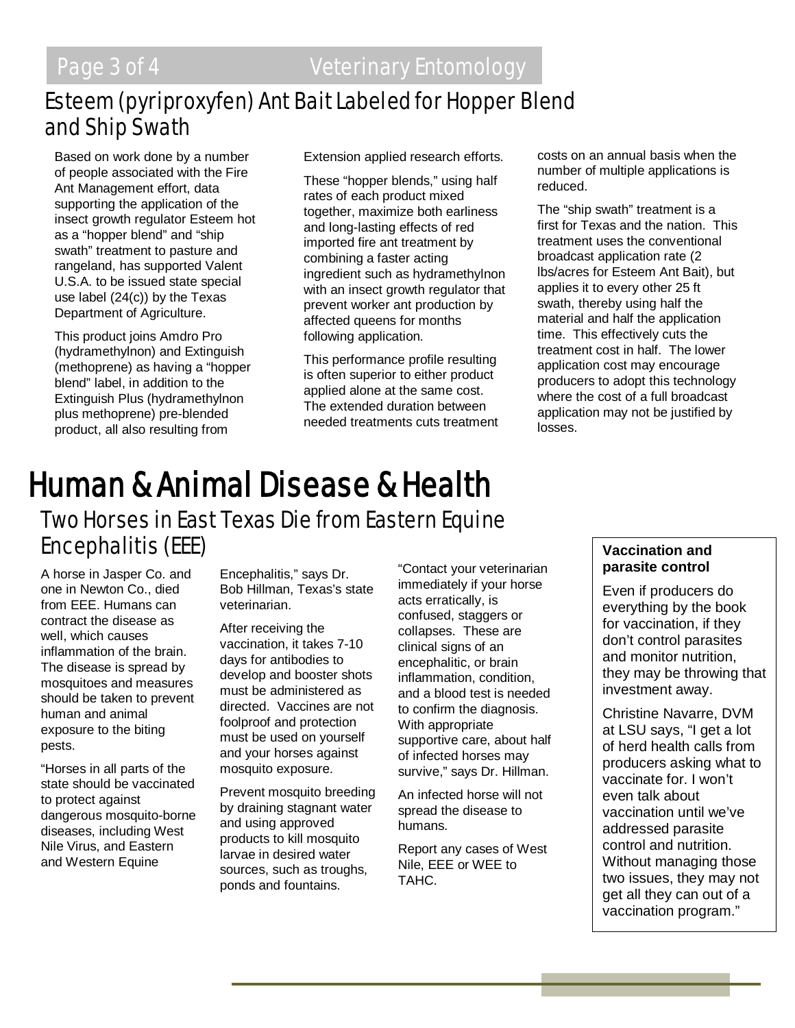### Esteem (pyriproxyfen) Ant Bait Labeled for Hopper Blend and Ship Swath

Based on work done by a number of people associated with the Fire Ant Management effort, data supporting the application of the insect growth regulator Esteem hot as a "hopper blend" and "ship swath" treatment to pasture and rangeland, has supported Valent U.S.A. to be issued state special use label (24(c)) by the Texas Department of Agriculture.

This product joins Amdro Pro (hydramethylnon) and Extinguish (methoprene) as having a "hopper blend" label, in addition to the Extinguish Plus (hydramethylnon plus methoprene) pre-blended product, all also resulting from

Extension applied research efforts.

These "hopper blends," using half rates of each product mixed together, maximize both earliness and long-lasting effects of red imported fire ant treatment by combining a faster acting ingredient such as hydramethylnon with an insect growth regulator that prevent worker ant production by affected queens for months following application.

This performance profile resulting is often superior to either product applied alone at the same cost. The extended duration between needed treatments cuts treatment costs on an annual basis when the number of multiple applications is reduced.

The "ship swath" treatment is a first for Texas and the nation. This treatment uses the conventional broadcast application rate (2 lbs/acres for Esteem Ant Bait), but applies it to every other 25 ft swath, thereby using half the material and half the application time. This effectively cuts the treatment cost in half. The lower application cost may encourage producers to adopt this technology where the cost of a full broadcast application may not be justified by losses.

# **Human & Animal Disease & Health**<br>Two Horses in East Texas Die from Eastern Equine Encephalitis (EEE)

A horse in Jasper Co. and one in Newton Co., died from EEE. Humans can contract the disease as well, which causes inflammation of the brain. The disease is spread by mosquitoes and measures should be taken to prevent human and animal exposure to the biting pests.

"Horses in all parts of the state should be vaccinated to protect against dangerous mosquito-borne diseases, including West Nile Virus, and Eastern and Western Equine

Encephalitis," says Dr. Bob Hillman, Texas's state veterinarian.

After receiving the vaccination, it takes 7-10 days for antibodies to develop and booster shots must be administered as directed. Vaccines are not foolproof and protection must be used on yourself and your horses against mosquito exposure.

Prevent mosquito breeding by draining stagnant water and using approved products to kill mosquito larvae in desired water sources, such as troughs, ponds and fountains.

"Contact your veterinarian immediately if your horse acts erratically, is confused, staggers or collapses. These are clinical signs of an encephalitic, or brain inflammation, condition, and a blood test is needed to confirm the diagnosis. With appropriate supportive care, about half of infected horses may survive," says Dr. Hillman.

An infected horse will not spread the disease to humans.

Report any cases of West Nile, EEE or WEE to TAHC.

#### **Vaccination and parasite control**

Even if producers do everything by the book for vaccination, if they don't control parasites and monitor nutrition, they may be throwing that investment away.

Christine Navarre, DVM at LSU says, "I get a lot of herd health calls from producers asking what to vaccinate for. I won't even talk about vaccination until we've addressed parasite control and nutrition. Without managing those two issues, they may not get all they can out of a vaccination program."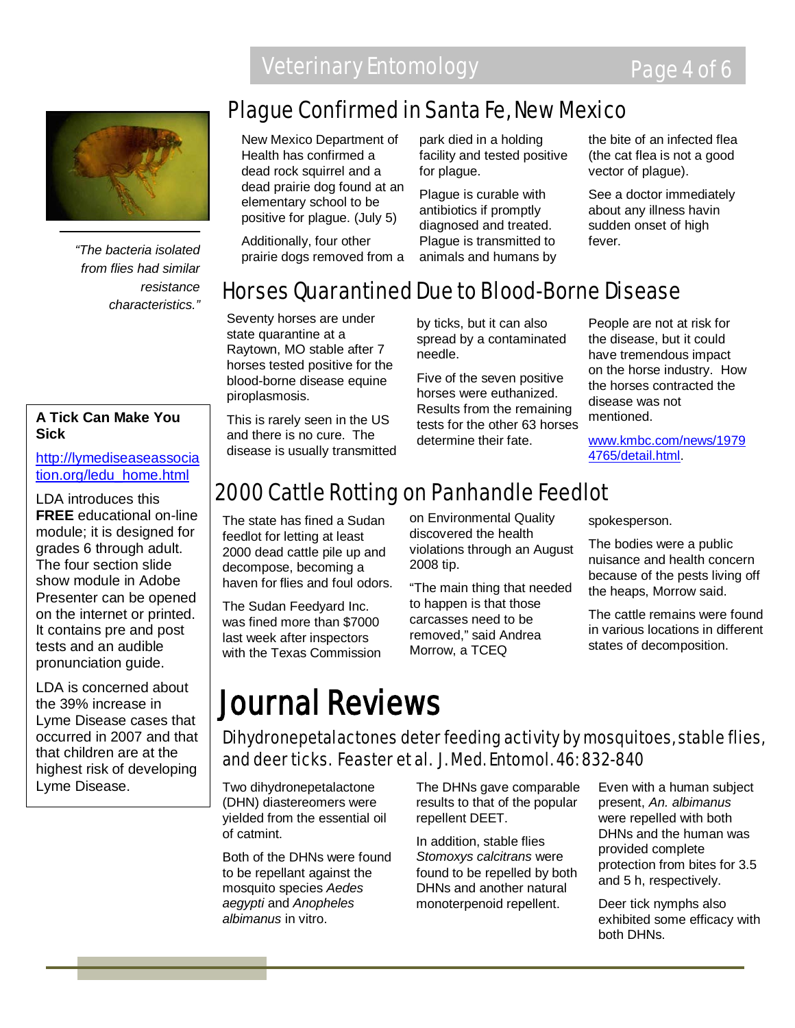

*"The bacteria isolated from flies had similar resistance characteristics."*

#### **A Tick Can Make You Sick**

[http://lymediseaseassocia](http://lymediseaseassociation.org/ledu_home.html) [tion.org/ledu\\_home.html](http://lymediseaseassociation.org/ledu_home.html)

LDA introduces this **FREE** educational on-line module; it is designed for grades 6 through adult. The four section slide show module in Adobe Presenter can be opened on the internet or printed. It contains pre and post tests and an audible pronunciation guide.

LDA is concerned about the 39% increase in Lyme Disease cases that occurred in 2007 and that that children are at the highest risk of developing Lyme Disease.

### Plague Confirmed in Santa Fe, New Mexico

New Mexico Department of Health has confirmed a dead rock squirrel and a dead prairie dog found at an elementary school to be positive for plague. (July 5)

Additionally, four other prairie dogs removed from a park died in a holding facility and tested positive for plague.

Plague is curable with antibiotics if promptly diagnosed and treated. Plague is transmitted to animals and humans by the bite of an infected flea (the cat flea is not a good vector of plague).

See a doctor immediately about any illness havin sudden onset of high fever.

### Horses Quarantined Due to Blood-Borne Disease

Seventy horses are under state quarantine at a Raytown, MO stable after 7 horses tested positive for the blood-borne disease equine piroplasmosis.

This is rarely seen in the US and there is no cure. The disease is usually transmitted by ticks, but it can also spread by a contaminated needle.

Five of the seven positive horses were euthanized. Results from the remaining tests for the other 63 horses determine their fate.

People are not at risk for the disease, but it could have tremendous impact on the horse industry. How the horses contracted the disease was not mentioned.

[www.kmbc.com/news/1979](http://www.kmbc.com/news/19794765/detail.html) [4765/detail.html.](http://www.kmbc.com/news/19794765/detail.html)

### 2000 Cattle Rotting on Panhandle Feedlot

The state has fined a Sudan feedlot for letting at least 2000 dead cattle pile up and decompose, becoming a haven for flies and foul odors.

The Sudan Feedyard Inc. was fined more than \$7000 last week after inspectors with the Texas Commission on Environmental Quality discovered the health violations through an August 2008 tip.

"The main thing that needed to happen is that those carcasses need to be removed," said Andrea Morrow, a TCEQ

spokesperson.

The bodies were a public nuisance and health concern because of the pests living off the heaps, Morrow said.

The cattle remains were found in various locations in different states of decomposition.

## Journal Reviews

Dihydronepetalactones deter feeding activity by mosquitoes, stable flies, and deer ticks. Feaster et al. J. Med. Entomol. 46: 832-840

Two dihydronepetalactone (DHN) diastereomers were yielded from the essential oil of catmint.

Both of the DHNs were found to be repellant against the mosquito species *Aedes aegypti* and *Anopheles albimanus* in vitro.

The DHNs gave comparable results to that of the popular repellent DEET.

In addition, stable flies *Stomoxys calcitrans* were found to be repelled by both DHNs and another natural monoterpenoid repellent.

Even with a human subject present, *An. albimanus* were repelled with both DHNs and the human was provided complete protection from bites for 3.5 and 5 h, respectively.

Deer tick nymphs also exhibited some efficacy with both DHNs.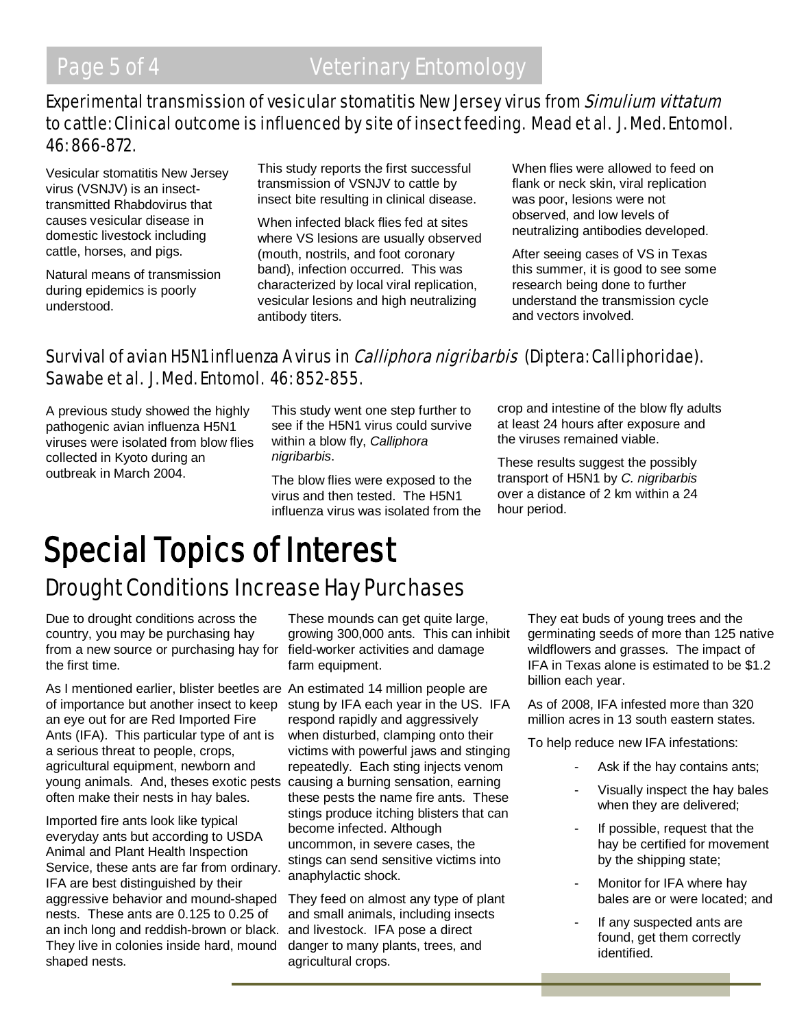### Experimental transmission of vesicular stomatitis New Jersey virus from Simulium vittatum to cattle: Clinical outcome is influenced by site of insect feeding. Mead et al. J. Med. Entomol. 46: 866-872.

Vesicular stomatitis New Jersey virus (VSNJV) is an insecttransmitted Rhabdovirus that causes vesicular disease in domestic livestock including cattle, horses, and pigs.

Natural means of transmission during epidemics is poorly understood.

This study reports the first successful transmission of VSNJV to cattle by insect bite resulting in clinical disease.

When infected black flies fed at sites where VS lesions are usually observed (mouth, nostrils, and foot coronary band), infection occurred. This was characterized by local viral replication, vesicular lesions and high neutralizing antibody titers.

When flies were allowed to feed on flank or neck skin, viral replication was poor, lesions were not observed, and low levels of neutralizing antibodies developed.

After seeing cases of VS in Texas this summer, it is good to see some research being done to further understand the transmission cycle and vectors involved.

### Survival of avian H5N1 influenza A virus in *Calliphora nigribarbis* (Diptera: Calliphoridae). Sawabe et al. J. Med. Entomol. 46: 852-855.

A previous study showed the highly pathogenic avian influenza H5N1 viruses were isolated from blow flies collected in Kyoto during an outbreak in March 2004.

This study went one step further to see if the H5N1 virus could survive within a blow fly, *Calliphora nigribarbis*.

The blow flies were exposed to the virus and then tested. The H5N1 influenza virus was isolated from the crop and intestine of the blow fly adults at least 24 hours after exposure and the viruses remained viable.

These results suggest the possibly transport of H5N1 by *C. nigribarbis* over a distance of 2 km within a 24 hour period.

## Drought Conditions Increase Hay Purchases Special Topics of Interest

Due to drought conditions across the country, you may be purchasing hay from a new source or purchasing hay for field-worker activities and damage the first time.

As I mentioned earlier, blister beetles are An estimated 14 million people are of importance but another insect to keep an eye out for are Red Imported Fire Ants (IFA). This particular type of ant is a serious threat to people, crops, agricultural equipment, newborn and young animals. And, theses exotic pests often make their nests in hay bales.

Imported fire ants look like typical everyday ants but according to USDA Animal and Plant Health Inspection Service, these ants are far from ordinary. IFA are best distinguished by their aggressive behavior and mound-shaped nests. These ants are 0.125 to 0.25 of an inch long and reddish-brown or black. They live in colonies inside hard, mound shaped nests.

These mounds can get quite large, growing 300,000 ants. This can inhibit farm equipment.

stung by IFA each year in the US. IFA respond rapidly and aggressively when disturbed, clamping onto their victims with powerful jaws and stinging repeatedly. Each sting injects venom causing a burning sensation, earning these pests the name fire ants. These stings produce itching blisters that can become infected. Although uncommon, in severe cases, the stings can send sensitive victims into anaphylactic shock.

They feed on almost any type of plant and small animals, including insects and livestock. IFA pose a direct danger to many plants, trees, and agricultural crops.

They eat buds of young trees and the germinating seeds of more than 125 native wildflowers and grasses. The impact of IFA in Texas alone is estimated to be \$1.2 billion each year.

As of 2008, IFA infested more than 320 million acres in 13 south eastern states.

To help reduce new IFA infestations:

- Ask if the hay contains ants;
- Visually inspect the hay bales when they are delivered;
- If possible, request that the hay be certified for movement by the shipping state;
- Monitor for IFA where hay bales are or were located; and
- If any suspected ants are found, get them correctly identified.